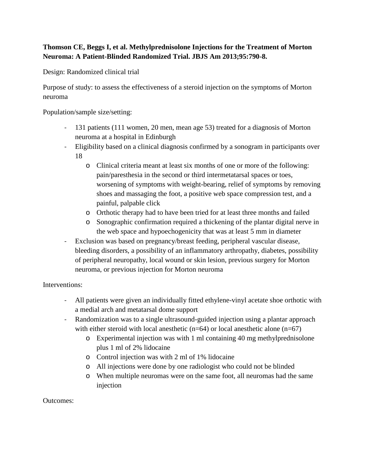## **Thomson CE, Beggs I, et al. Methylprednisolone Injections for the Treatment of Morton Neuroma: A Patient-Blinded Randomized Trial. JBJS Am 2013;95:790-8.**

Design: Randomized clinical trial

Purpose of study: to assess the effectiveness of a steroid injection on the symptoms of Morton neuroma

Population/sample size/setting:

- 131 patients (111 women, 20 men, mean age 53) treated for a diagnosis of Morton neuroma at a hospital in Edinburgh
- Eligibility based on a clinical diagnosis confirmed by a sonogram in participants over 18
	- o Clinical criteria meant at least six months of one or more of the following: pain/paresthesia in the second or third intermetatarsal spaces or toes, worsening of symptoms with weight-bearing, relief of symptoms by removing shoes and massaging the foot, a positive web space compression test, and a painful, palpable click
	- o Orthotic therapy had to have been tried for at least three months and failed
	- o Sonographic confirmation required a thickening of the plantar digital nerve in the web space and hypoechogenicity that was at least 5 mm in diameter
- Exclusion was based on pregnancy/breast feeding, peripheral vascular disease, bleeding disorders, a possibility of an inflammatory arthropathy, diabetes, possibility of peripheral neuropathy, local wound or skin lesion, previous surgery for Morton neuroma, or previous injection for Morton neuroma

Interventions:

- All patients were given an individually fitted ethylene-vinyl acetate shoe orthotic with a medial arch and metatarsal dome support
- Randomization was to a single ultrasound-guided injection using a plantar approach with either steroid with local anesthetic  $(n=64)$  or local anesthetic alone  $(n=67)$ 
	- o Experimental injection was with 1 ml containing 40 mg methylprednisolone plus 1 ml of 2% lidocaine
	- o Control injection was with 2 ml of 1% lidocaine
	- o All injections were done by one radiologist who could not be blinded
	- o When multiple neuromas were on the same foot, all neuromas had the same injection

Outcomes: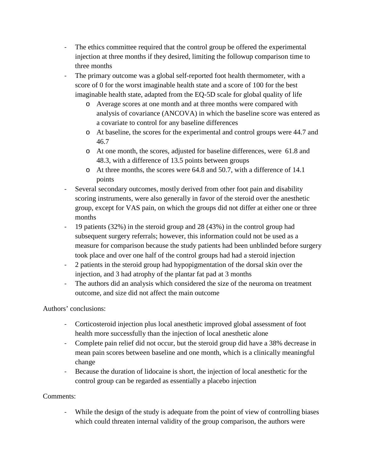- The ethics committee required that the control group be offered the experimental injection at three months if they desired, limiting the followup comparison time to three months
- The primary outcome was a global self-reported foot health thermometer, with a score of 0 for the worst imaginable health state and a score of 100 for the best imaginable health state, adapted from the EQ-5D scale for global quality of life
	- o Average scores at one month and at three months were compared with analysis of covariance (ANCOVA) in which the baseline score was entered as a covariate to control for any baseline differences
	- o At baseline, the scores for the experimental and control groups were 44.7 and 46.7
	- o At one month, the scores, adjusted for baseline differences, were 61.8 and 48.3, with a difference of 13.5 points between groups
	- o At three months, the scores were 64.8 and 50.7, with a difference of 14.1 points
- Several secondary outcomes, mostly derived from other foot pain and disability scoring instruments, were also generally in favor of the steroid over the anesthetic group, except for VAS pain, on which the groups did not differ at either one or three months
- 19 patients (32%) in the steroid group and 28 (43%) in the control group had subsequent surgery referrals; however, this information could not be used as a measure for comparison because the study patients had been unblinded before surgery took place and over one half of the control groups had had a steroid injection
- 2 patients in the steroid group had hypopigmentation of the dorsal skin over the injection, and 3 had atrophy of the plantar fat pad at 3 months
- The authors did an analysis which considered the size of the neuroma on treatment outcome, and size did not affect the main outcome

## Authors' conclusions:

- Corticosteroid injection plus local anesthetic improved global assessment of foot health more successfully than the injection of local anesthetic alone
- Complete pain relief did not occur, but the steroid group did have a 38% decrease in mean pain scores between baseline and one month, which is a clinically meaningful change
- Because the duration of lidocaine is short, the injection of local anesthetic for the control group can be regarded as essentially a placebo injection

## Comments:

- While the design of the study is adequate from the point of view of controlling biases which could threaten internal validity of the group comparison, the authors were